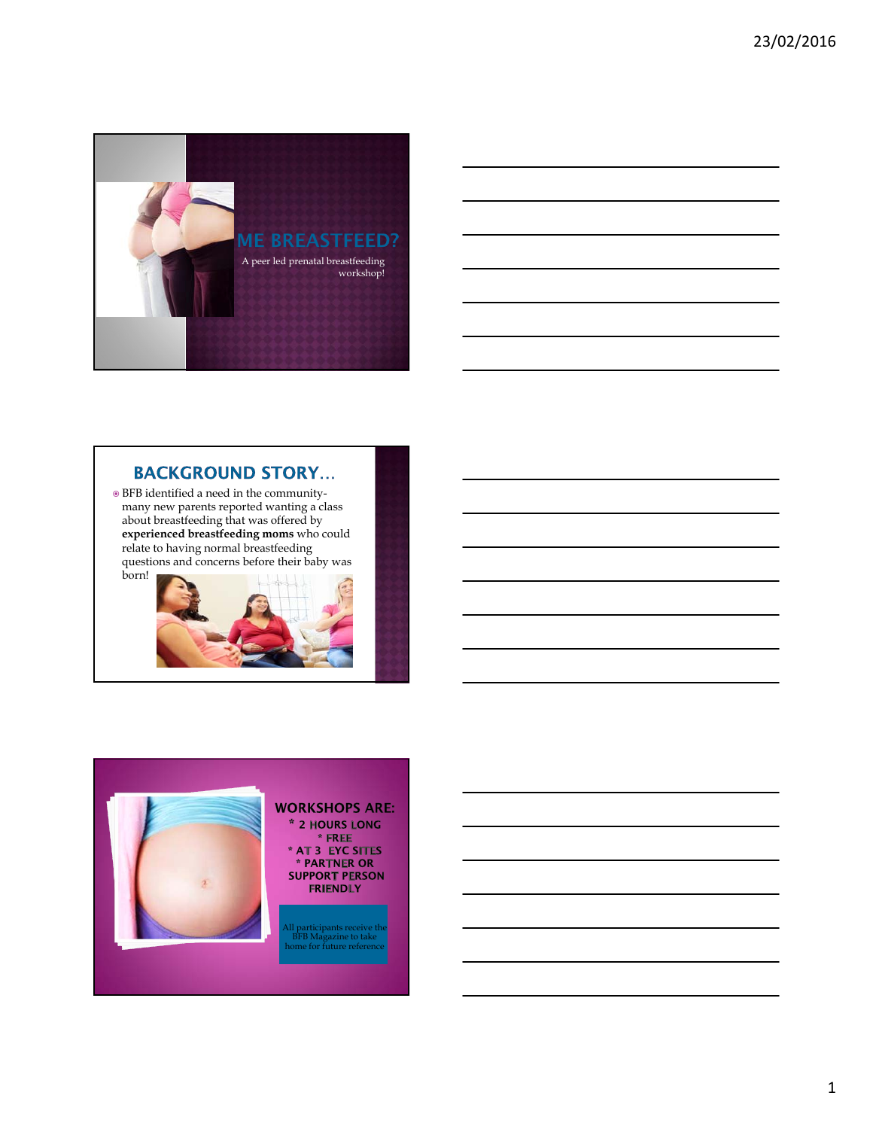

## **BACKGROUND STORY...**

 BFB identified a need in the communitymany new parents reported wanting a class about breastfeeding that was offered by **experienced breastfeeding moms** who could relate to having normal breastfeeding questions and concerns before their baby was born!





\* 2 HOURS LONG \* AT 3 EYC SITES<br>\* PARTNER OR **SUPPORT PERSON** 

All participants receive the BFB Magazine to take home for future reference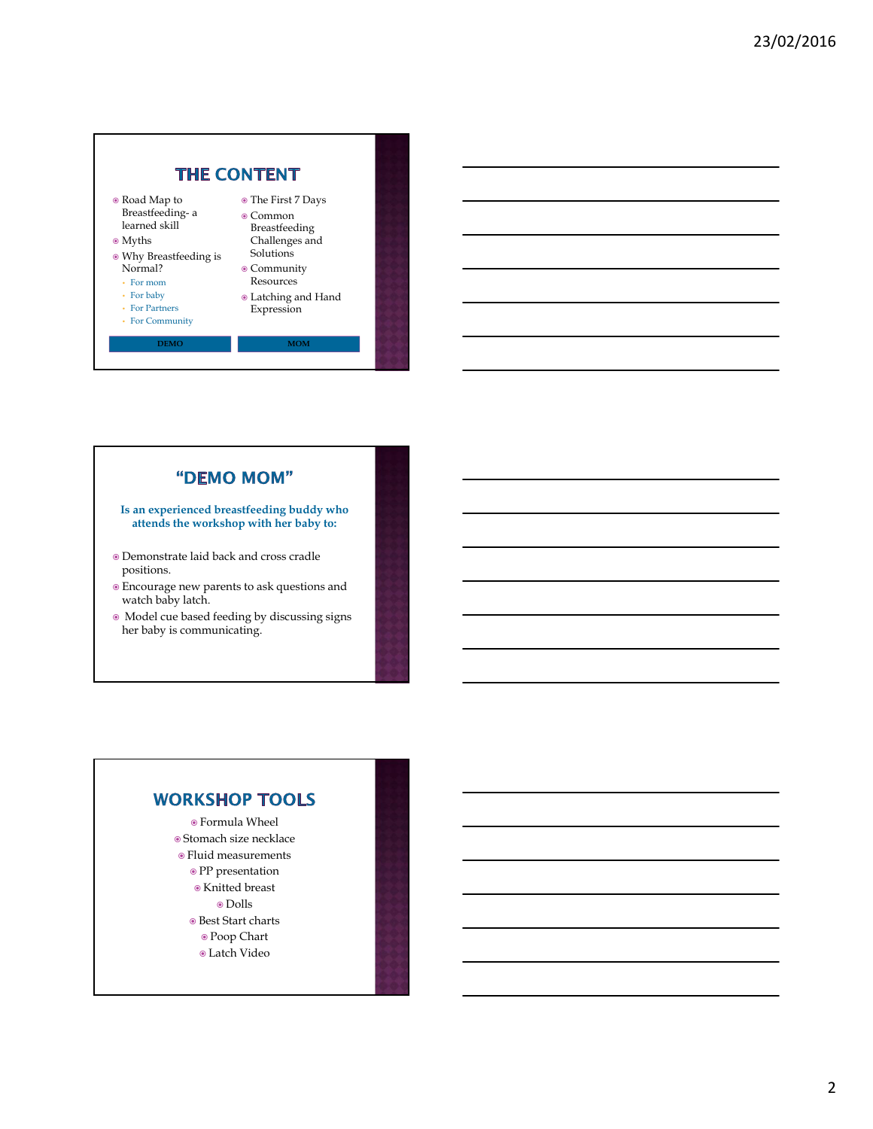

### "DEMO MOM"

**Is an experienced breastfeeding buddy who attends the workshop with her baby to:**

- Demonstrate laid back and cross cradle positions.
- Encourage new parents to ask questions and watch baby latch.
- Model cue based feeding by discussing signs her baby is communicating.

# **WORKSHOP TOOLS**

- Formula Wheel  $\circ$  Stomach size necklace
- Fluid measurements
	- PP presentation
	- Knitted breast
		- Dolls
	- $\bullet$  Best Start charts
	- Poop Chart
	- Latch Video